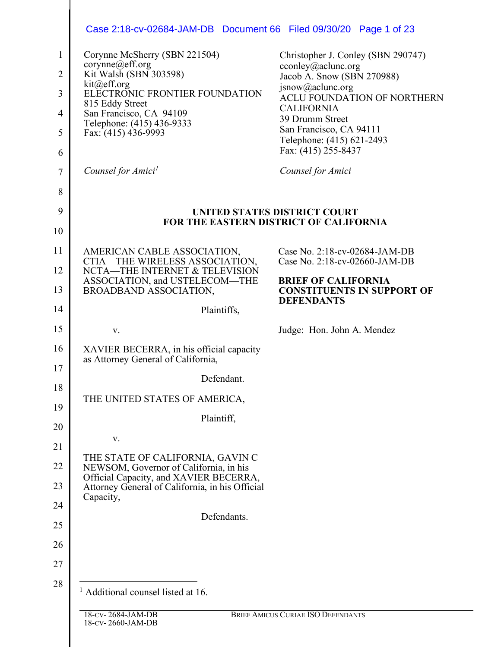| Corynne McSherry (SBN 221504)                                                                                                                                                        | Christopher J. Conley (SBN 290747)                                                   |
|--------------------------------------------------------------------------------------------------------------------------------------------------------------------------------------|--------------------------------------------------------------------------------------|
| corynne@eff.org<br>Kit Walsh (SBN 303598)                                                                                                                                            | cconley@aclunc.org<br>Jacob A. Snow (SBN 270988)                                     |
| kit@eff.org<br>ELECTRONIC FRONTIER FOUNDATION                                                                                                                                        | jsnow@aclunc.org<br><b>ACLU FOUNDATION OF NORTHERN</b>                               |
| 815 Eddy Street<br>San Francisco, CA 94109                                                                                                                                           | <b>CALIFORNIA</b>                                                                    |
| Telephone: (415) 436-9333<br>Fax: (415) 436-9993                                                                                                                                     | 39 Drumm Street<br>San Francisco, CA 94111                                           |
|                                                                                                                                                                                      | Telephone: (415) 621-2493<br>Fax: (415) 255-8437                                     |
| Counsel for Amici <sup>1</sup>                                                                                                                                                       | Counsel for Amici                                                                    |
|                                                                                                                                                                                      |                                                                                      |
|                                                                                                                                                                                      | UNITED STATES DISTRICT COURT                                                         |
|                                                                                                                                                                                      | <b>FOR THE EASTERN DISTRICT OF CALIFORNIA</b>                                        |
| AMERICAN CABLE ASSOCIATION,                                                                                                                                                          | Case No. 2:18-cv-02684-JAM-DB                                                        |
| CTIA-THE WIRELESS ASSOCIATION,<br>NCTA-THE INTERNET & TELEVISION                                                                                                                     | Case No. 2:18-cv-02660-JAM-DB                                                        |
| ASSOCIATION, and USTELECOM-THE<br><b>BROADBAND ASSOCIATION,</b>                                                                                                                      | <b>BRIEF OF CALIFORNIA</b><br><b>CONSTITUENTS IN SUPPORT OF</b><br><b>DEFENDANTS</b> |
| Plaintiffs,                                                                                                                                                                          |                                                                                      |
| V.                                                                                                                                                                                   | Judge: Hon. John A. Mendez                                                           |
| XAVIER BECERRA, in his official capacity<br>as Attorney General of California,                                                                                                       |                                                                                      |
| Defendant.                                                                                                                                                                           |                                                                                      |
| THE UNITED STATES OF AMERICA,                                                                                                                                                        |                                                                                      |
| Plaintiff,                                                                                                                                                                           |                                                                                      |
| V.                                                                                                                                                                                   |                                                                                      |
| THE STATE OF CALIFORNIA, GAVIN C<br>NEWSOM, Governor of California, in his<br>Official Capacity, and XAVIER BECERRA,<br>Attorney General of California, in his Official<br>Capacity, |                                                                                      |
| Defendants.                                                                                                                                                                          |                                                                                      |
|                                                                                                                                                                                      |                                                                                      |
|                                                                                                                                                                                      |                                                                                      |
| <sup>1</sup> Additional counsel listed at 16.                                                                                                                                        |                                                                                      |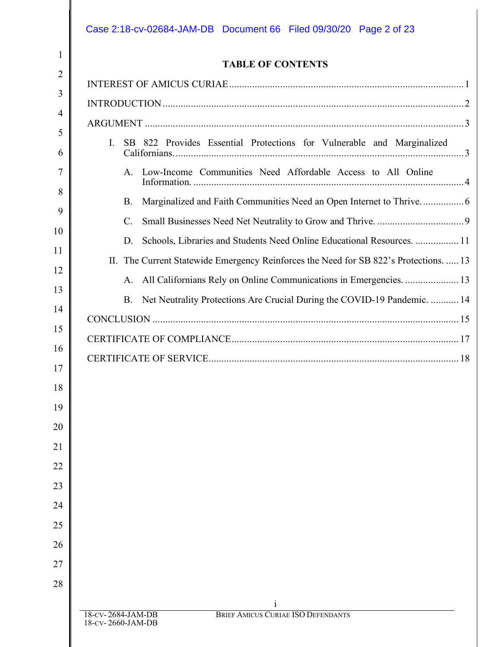|                | <b>TABLE OF CONTENTS</b>                                                               |
|----------------|----------------------------------------------------------------------------------------|
|                |                                                                                        |
|                |                                                                                        |
|                |                                                                                        |
| $\mathbf{I}$ . | SB 822 Provides Essential Protections for Vulnerable and Marginalized                  |
|                | A. Low-Income Communities Need Affordable Access to All Online                         |
|                | <b>B.</b>                                                                              |
|                | $\mathcal{C}$                                                                          |
|                | Schools, Libraries and Students Need Online Educational Resources.  11<br>D.           |
|                | II. The Current Statewide Emergency Reinforces the Need for SB 822's Protections13     |
|                |                                                                                        |
|                | Net Neutrality Protections Are Crucial During the COVID-19 Pandemic.  14<br><b>B</b> . |
|                |                                                                                        |
|                |                                                                                        |
|                |                                                                                        |
|                |                                                                                        |
|                |                                                                                        |
|                |                                                                                        |
|                |                                                                                        |
|                |                                                                                        |
|                |                                                                                        |
|                |                                                                                        |
|                |                                                                                        |
|                |                                                                                        |
|                |                                                                                        |
|                |                                                                                        |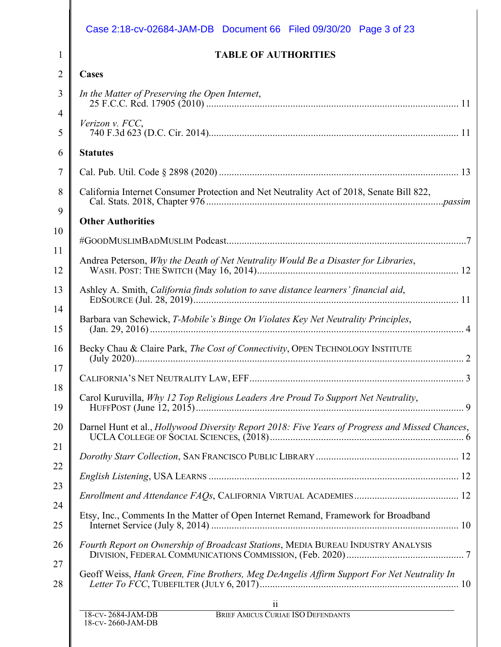| <b>TABLE OF AUTHORITIES</b>                                                                             |
|---------------------------------------------------------------------------------------------------------|
| <b>Cases</b>                                                                                            |
| In the Matter of Preserving the Open Internet,                                                          |
| Verizon v. FCC,                                                                                         |
| <b>Statutes</b>                                                                                         |
|                                                                                                         |
| California Internet Consumer Protection and Net Neutrality Act of 2018, Senate Bill 822,                |
| <b>Other Authorities</b>                                                                                |
|                                                                                                         |
| Andrea Peterson, Why the Death of Net Neutrality Would Be a Disaster for Libraries,                     |
| Ashley A. Smith, California finds solution to save distance learners' financial aid,                    |
| Barbara van Schewick, T-Mobile's Binge On Violates Key Net Neutrality Principles,                       |
|                                                                                                         |
|                                                                                                         |
| Carol Kuruvilla, Why 12 Top Religious Leaders Are Proud To Support Net Neutrality,                      |
| Darnel Hunt et al., <i>Hollywood Diversity Report 2018: Five Years of Progress and Missed Chances</i> , |
|                                                                                                         |
|                                                                                                         |
|                                                                                                         |
| Etsy, Inc., Comments In the Matter of Open Internet Remand, Framework for Broadband                     |
| Fourth Report on Ownership of Broadcast Stations, MEDIA BUREAU INDUSTRY ANALYSIS                        |
| Geoff Weiss, Hank Green, Fine Brothers, Meg DeAngelis Affirm Support For Net Neutrality In              |
| $11\,$<br>BRIEF AMICUS CURIAE ISO DEFENDANTS                                                            |

║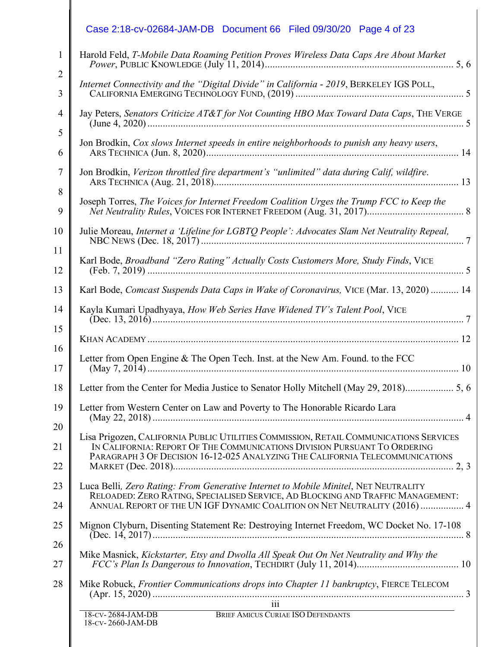| Case 2:18-cv-02684-JAM-DB  Document 66  Filed 09/30/20  Page 4 of 23                                                                                                                                                                                |
|-----------------------------------------------------------------------------------------------------------------------------------------------------------------------------------------------------------------------------------------------------|
| Harold Feld, T-Mobile Data Roaming Petition Proves Wireless Data Caps Are About Market                                                                                                                                                              |
| Internet Connectivity and the "Digital Divide" in California - 2019, BERKELEY IGS POLL,                                                                                                                                                             |
| Jay Peters, Senators Criticize AT&T for Not Counting HBO Max Toward Data Caps, THE VERGE                                                                                                                                                            |
| Jon Brodkin, Cox slows Internet speeds in entire neighborhoods to punish any heavy users,                                                                                                                                                           |
| Jon Brodkin, Verizon throttled fire department's "unlimited" data during Calif, wildfire.                                                                                                                                                           |
| Joseph Torres, The Voices for Internet Freedom Coalition Urges the Trump FCC to Keep the                                                                                                                                                            |
| Julie Moreau, Internet a 'Lifeline for LGBTQ People': Advocates Slam Net Neutrality Repeal,                                                                                                                                                         |
| Karl Bode, Broadband "Zero Rating" Actually Costs Customers More, Study Finds, VICE                                                                                                                                                                 |
| Karl Bode, Comcast Suspends Data Caps in Wake of Coronavirus, VICE (Mar. 13, 2020)  14                                                                                                                                                              |
| Kayla Kumari Upadhyaya, How Web Series Have Widened TV's Talent Pool, VICE                                                                                                                                                                          |
|                                                                                                                                                                                                                                                     |
| Letter from Open Engine & The Open Tech. Inst. at the New Am. Found. to the FCC<br>(May 7, 2014)                                                                                                                                                    |
|                                                                                                                                                                                                                                                     |
| Letter from Western Center on Law and Poverty to The Honorable Ricardo Lara                                                                                                                                                                         |
| Lisa Prigozen, CALIFORNIA PUBLIC UTILITIES COMMISSION, RETAIL COMMUNICATIONS SERVICES<br>IN CALIFORNIA: REPORT OF THE COMMUNICATIONS DIVISION PURSUANT TO ORDERING<br>PARAGRAPH 3 OF DECISION 16-12-025 ANALYZING THE CALIFORNIA TELECOMMUNICATIONS |
| Luca Belli, Zero Rating: From Generative Internet to Mobile Minitel, NET NEUTRALITY<br>RELOADED: ZERO RATING, SPECIALISED SERVICE, AD BLOCKING AND TRAFFIC MANAGEMENT:<br>ANNUAL REPORT OF THE UN IGF DYNAMIC COALITION ON NET NEUTRALITY (2016)  4 |
| Mignon Clyburn, Disenting Statement Re: Destroying Internet Freedom, WC Docket No. 17-108                                                                                                                                                           |
| Mike Masnick, Kickstarter, Etsy and Dwolla All Speak Out On Net Neutrality and Why the                                                                                                                                                              |
| Mike Robuck, Frontier Communications drops into Chapter 11 bankruptcy, FIERCE TELECOM                                                                                                                                                               |
| 18-CV-2684-JAM-DB<br>BRIEF AMICUS CURIAE ISO DEFENDANTS                                                                                                                                                                                             |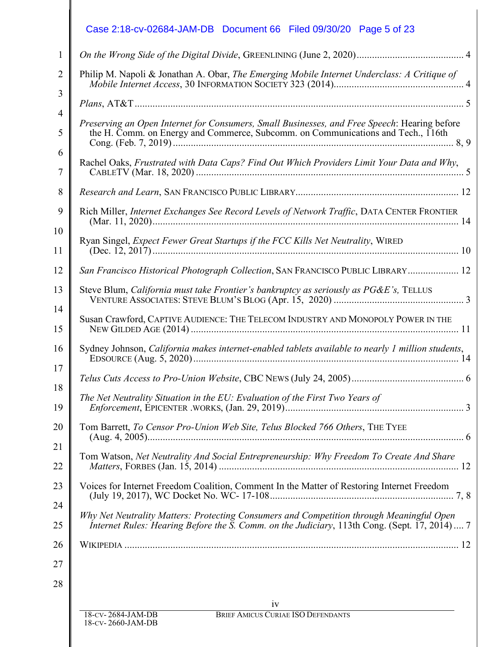| Philip M. Napoli & Jonathan A. Obar, The Emerging Mobile Internet Underclass: A Critique of                                                                                               |
|-------------------------------------------------------------------------------------------------------------------------------------------------------------------------------------------|
| PlanS, AT&T                                                                                                                                                                               |
| Preserving an Open Internet for Consumers, Small Businesses, and Free Speech: Hearing before<br>the H. Comm. on Energy and Commerce, Subcomm. on Communications and Tech., 116th          |
| Rachel Oaks, Frustrated with Data Caps? Find Out Which Providers Limit Your Data and Why,                                                                                                 |
|                                                                                                                                                                                           |
|                                                                                                                                                                                           |
| Ryan Singel, Expect Fewer Great Startups if the FCC Kills Net Neutrality, WIRED                                                                                                           |
| San Francisco Historical Photograph Collection, SAN FRANCISCO PUBLIC LIBRARY 12                                                                                                           |
| Steve Blum, California must take Frontier's bankruptcy as seriously as PG&E's, TELLUS                                                                                                     |
|                                                                                                                                                                                           |
| Sydney Johnson, California makes internet-enabled tablets available to nearly 1 million students,                                                                                         |
|                                                                                                                                                                                           |
| The Net Neutrality Situation in the EU: Evaluation of the First Two Years of                                                                                                              |
| Tom Barrett, To Censor Pro-Union Web Site, Telus Blocked 766 Others, THE TYEE                                                                                                             |
| Tom Watson, Net Neutrality And Social Entrepreneurship: Why Freedom To Create And Share                                                                                                   |
| Voices for Internet Freedom Coalition, Comment In the Matter of Restoring Internet Freedom                                                                                                |
| Why Net Neutrality Matters: Protecting Consumers and Competition through Meaningful Open<br>Internet Rules: Hearing Before the S. Comm. on the Judiciary, 113th Cong. (Sept. 17, 2014)  7 |
|                                                                                                                                                                                           |
|                                                                                                                                                                                           |
| iv                                                                                                                                                                                        |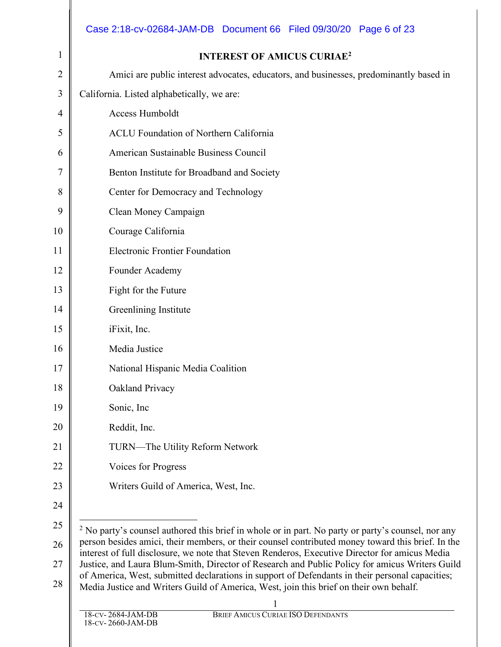|                | Case 2:18-cv-02684-JAM-DB Document 66 Filed 09/30/20 Page 6 of 23                                                                                                                                   |  |  |  |
|----------------|-----------------------------------------------------------------------------------------------------------------------------------------------------------------------------------------------------|--|--|--|
| 1              | <b>INTEREST OF AMICUS CURIAE<sup>2</sup></b>                                                                                                                                                        |  |  |  |
| $\overline{2}$ | Amici are public interest advocates, educators, and businesses, predominantly based in                                                                                                              |  |  |  |
| 3              | California. Listed alphabetically, we are:                                                                                                                                                          |  |  |  |
| 4              | Access Humboldt                                                                                                                                                                                     |  |  |  |
| 5              | <b>ACLU Foundation of Northern California</b>                                                                                                                                                       |  |  |  |
| 6              | American Sustainable Business Council                                                                                                                                                               |  |  |  |
| 7              | Benton Institute for Broadband and Society                                                                                                                                                          |  |  |  |
| 8              | Center for Democracy and Technology                                                                                                                                                                 |  |  |  |
| 9              | Clean Money Campaign                                                                                                                                                                                |  |  |  |
| 10             | Courage California                                                                                                                                                                                  |  |  |  |
| 11             | <b>Electronic Frontier Foundation</b>                                                                                                                                                               |  |  |  |
| 12             | Founder Academy                                                                                                                                                                                     |  |  |  |
| 13             | Fight for the Future                                                                                                                                                                                |  |  |  |
| 14             | Greenlining Institute                                                                                                                                                                               |  |  |  |
| 15             | iFixit, Inc.                                                                                                                                                                                        |  |  |  |
| 16             | Media Justice                                                                                                                                                                                       |  |  |  |
| 17             | National Hispanic Media Coalition                                                                                                                                                                   |  |  |  |
| 18             | Oakland Privacy                                                                                                                                                                                     |  |  |  |
| 19             | Sonic, Inc.                                                                                                                                                                                         |  |  |  |
| 20             | Reddit, Inc.                                                                                                                                                                                        |  |  |  |
| 21             | <b>TURN—The Utility Reform Network</b>                                                                                                                                                              |  |  |  |
| 22             | Voices for Progress                                                                                                                                                                                 |  |  |  |
| 23             | Writers Guild of America, West, Inc.                                                                                                                                                                |  |  |  |
| 24             |                                                                                                                                                                                                     |  |  |  |
| 25             | <sup>2</sup> No party's counsel authored this brief in whole or in part. No party or party's counsel, nor any                                                                                       |  |  |  |
| 26             | person besides amici, their members, or their counsel contributed money toward this brief. In the<br>interest of full disclosure, we note that Steven Renderos, Executive Director for amicus Media |  |  |  |
| 27             | Justice, and Laura Blum-Smith, Director of Research and Public Policy for amicus Writers Guild<br>of America, West, submitted declarations in support of Defendants in their personal capacities;   |  |  |  |
| 28             | Media Justice and Writers Guild of America, West, join this brief on their own behalf.                                                                                                              |  |  |  |
|                | BRIEF AMICUS CURIAE ISO DEFENDANTS<br>18-CV-2684-JAM-DB                                                                                                                                             |  |  |  |
|                | 18-CV-2660-JAM-DB                                                                                                                                                                                   |  |  |  |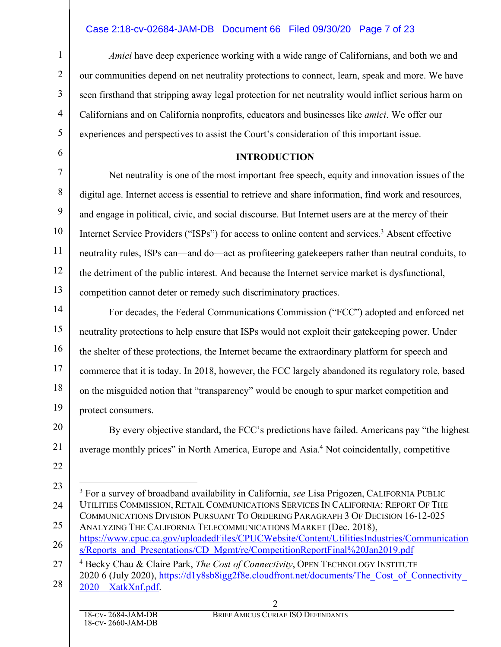## Case 2:18-cv-02684-JAM-DB Document 66 Filed 09/30/20 Page 7 of 23

*Amici* have deep experience working with a wide range of Californians, and both we and our communities depend on net neutrality protections to connect, learn, speak and more. We have seen firsthand that stripping away legal protection for net neutrality would inflict serious harm on Californians and on California nonprofits, educators and businesses like *amici*. We offer our experiences and perspectives to assist the Court's consideration of this important issue.

#### **INTRODUCTION**

Net neutrality is one of the most important free speech, equity and innovation issues of the digital age. Internet access is essential to retrieve and share information, find work and resources, and engage in political, civic, and social discourse. But Internet users are at the mercy of their Internet Service Providers ("ISPs") for access to online content and services. <sup>3</sup> Absent effective neutrality rules, ISPs can—and do—act as profiteering gatekeepers rather than neutral conduits, to the detriment of the public interest. And because the Internet service market is dysfunctional, competition cannot deter or remedy such discriminatory practices.

For decades, the Federal Communications Commission ("FCC") adopted and enforced net neutrality protections to help ensure that ISPs would not exploit their gatekeeping power. Under the shelter of these protections, the Internet became the extraordinary platform for speech and commerce that it is today. In 2018, however, the FCC largely abandoned its regulatory role, based on the misguided notion that "transparency" would be enough to spur market competition and protect consumers.

By every objective standard, the FCC's predictions have failed. Americans pay "the highest average monthly prices" in North America, Europe and Asia.<sup>4</sup> Not coincidentally, competitive

24 25 26 27 28 <sup>3</sup> For a survey of broadband availability in California, *see* Lisa Prigozen, CALIFORNIA PUBLIC UTILITIES COMMISSION, RETAIL COMMUNICATIONS SERVICES IN CALIFORNIA: REPORT OF THE COMMUNICATIONS DIVISION PURSUANT TO ORDERING PARAGRAPH 3 OF DECISION 16-12-025 ANALYZING THE CALIFORNIA TELECOMMUNICATIONS MARKET (Dec. 2018), https://www.cpuc.ca.gov/uploadedFiles/CPUCWebsite/Content/UtilitiesIndustries/Communication s/Reports\_and\_Presentations/CD\_Mgmt/re/CompetitionReportFinal%20Jan2019.pdf <sup>4</sup> Becky Chau & Claire Park, *The Cost of Connectivity*, OPEN TECHNOLOGY INSTITUTE 2020 6 (July 2020), https://d1y8sb8igg2f8e.cloudfront.net/documents/The\_Cost\_of\_Connectivity\_ 2020\_XatkXnf.pdf

1

 $\mathfrak{D}$ 

3

4

5

6

7

8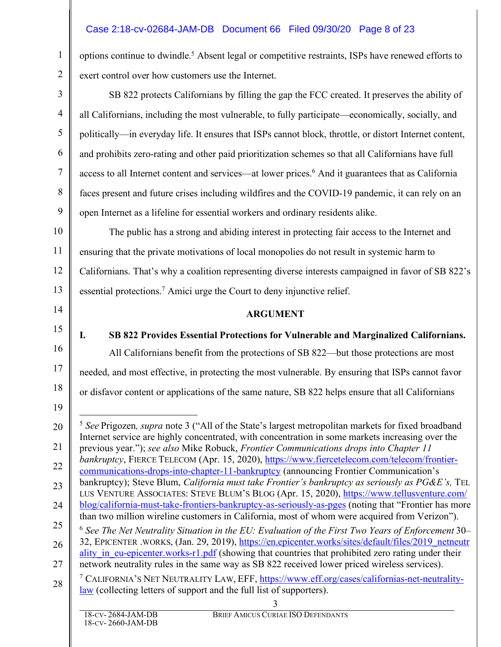## Case 2:18-cv-02684-JAM-DB Document 66 Filed 09/30/20 Page 8 of 23

options continue to dwindle.5 Absent legal or competitive restraints, ISPs have renewed efforts to exert control over how customers use the Internet.

SB 822 protects Californians by filling the gap the FCC created. It preserves the ability of all Californians, including the most vulnerable, to fully participate—economically, socially, and politically—in everyday life. It ensures that ISPs cannot block, throttle, or distort Internet content, and prohibits zero-rating and other paid prioritization schemes so that all Californians have full access to all Internet content and services—at lower prices.6 And it guarantees that as California faces present and future crises including wildfires and the COVID-19 pandemic, it can rely on an open Internet as a lifeline for essential workers and ordinary residents alike.

10 11 12 13 The public has a strong and abiding interest in protecting fair access to the Internet and ensuring that the private motivations of local monopolies do not result in systemic harm to Californians. That's why a coalition representing diverse interests campaigned in favor of SB 822's essential protections.7 Amici urge the Court to deny injunctive relief.

#### **ARGUMENT**

16 17 18 **I. SB 822 Provides Essential Protections for Vulnerable and Marginalized Californians.** All Californians benefit from the protections of SB 822—but those protections are most needed, and most effective, in protecting the most vulnerable. By ensuring that ISPs cannot favor or disfavor content or applications of the same nature, SB 822 helps ensure that all Californians

1

 $\mathfrak{D}$ 

3

4

5

6

7

8

9

14

15

<sup>20</sup> 21 22 23 24 25 26 27 28 3 5 *See* Prigozen*, supra* note 3 ("All of the State's largest metropolitan markets for fixed broadband Internet service are highly concentrated, with concentration in some markets increasing over the previous year."); *see also* Mike Robuck, *Frontier Communications drops into Chapter 11 bankruptcy*, FIERCE TELECOM (Apr. 15, 2020), https://www.fiercetelecom.com/telecom/frontiercommunications-drops-into-chapter-11-bankruptcy (announcing Frontier Communication's bankruptcy); Steve Blum, *California must take Frontier's bankruptcy as seriously as PG&E's,* TEL LUS VENTURE ASSOCIATES: STEVE BLUM'S BLOG (Apr. 15, 2020), https://www.tellusventure.com/ blog/california-must-take-frontiers-bankruptcy-as-seriously-as-pges (noting that "Frontier has more than two million wireline customers in California, most of whom were acquired from Verizon"). <sup>6</sup> *See The Net Neutrality Situation in the EU: Evaluation of the First Two Years of Enforcement* 30– 32, EPICENTER .WORKS, (Jan. 29, 2019), https://en.epicenter.works/sites/default/files/2019\_netneutr ality in eu-epicenter.works-r1.pdf (showing that countries that prohibited zero rating under their network neutrality rules in the same way as SB 822 received lower priced wireless services). <sup>7</sup> CALIFORNIA'S NET NEUTRALITY LAW, EFF, https://www.eff.org/cases/californias-net-neutralitylaw (collecting letters of support and the full list of supporters).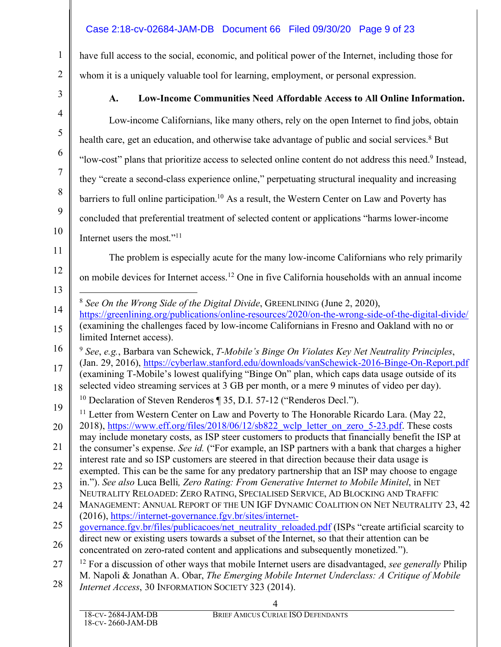## Case 2:18-cv-02684-JAM-DB Document 66 Filed 09/30/20 Page 9 of 23

have full access to the social, economic, and political power of the Internet, including those for whom it is a uniquely valuable tool for learning, employment, or personal expression.

1

 $\mathfrak{D}$ 

3

## **A. Low-Income Communities Need Affordable Access to All Online Information.**

4 5 6 7 8 9 10 11 12 13 14 15 16 17 18 19 20 21 22 23 24 25 26 27 28 4 Low-income Californians, like many others, rely on the open Internet to find jobs, obtain health care, get an education, and otherwise take advantage of public and social services.<sup>8</sup> But "low-cost" plans that prioritize access to selected online content do not address this need. <sup>9</sup> Instead, they "create a second-class experience online," perpetuating structural inequality and increasing barriers to full online participation.<sup>10</sup> As a result, the Western Center on Law and Poverty has concluded that preferential treatment of selected content or applications "harms lower-income Internet users the most."11 The problem is especially acute for the many low-income Californians who rely primarily on mobile devices for Internet access.12 One in five California households with an annual income 8 *See On the Wrong Side of the Digital Divide*, GREENLINING (June 2, 2020), https://greenlining.org/publications/online-resources/2020/on-the-wrong-side-of-the-digital-divide/ (examining the challenges faced by low-income Californians in Fresno and Oakland with no or limited Internet access). <sup>9</sup> *See*, *e.g.*, Barbara van Schewick, *T-Mobile's Binge On Violates Key Net Neutrality Principles*, (Jan. 29, 2016), https://cyberlaw.stanford.edu/downloads/vanSchewick-2016-Binge-On-Report.pdf (examining T-Mobile's lowest qualifying "Binge On" plan, which caps data usage outside of its selected video streaming services at 3 GB per month, or a mere 9 minutes of video per day). <sup>10</sup> Declaration of Steven Renderos ¶ 35, D.I. 57-12 ("Renderos Decl."). <sup>11</sup> Letter from Western Center on Law and Poverty to The Honorable Ricardo Lara. (May 22, 2018), https://www.eff.org/files/2018/06/12/sb822 wclp letter on zero 5-23.pdf. These costs may include monetary costs, as ISP steer customers to products that financially benefit the ISP at the consumer's expense. *See id.* ("For example, an ISP partners with a bank that charges a higher interest rate and so ISP customers are steered in that direction because their data usage is exempted. This can be the same for any predatory partnership that an ISP may choose to engage in."). *See also* Luca Belli*, Zero Rating: From Generative Internet to Mobile Minitel*, in NET NEUTRALITY RELOADED: ZERO RATING, SPECIALISED SERVICE, AD BLOCKING AND TRAFFIC MANAGEMENT: ANNUAL REPORT OF THE UN IGF DYNAMIC COALITION ON NET NEUTRALITY 23, 42 (2016), https://internet-governance.fgv.br/sites/internetgovernance.fgv.br/files/publicacoes/net\_neutrality\_reloaded.pdf (ISPs "create artificial scarcity to direct new or existing users towards a subset of the Internet, so that their attention can be concentrated on zero-rated content and applications and subsequently monetized."). <sup>12</sup> For a discussion of other ways that mobile Internet users are disadvantaged, *see generally* Philip M. Napoli & Jonathan A. Obar, *The Emerging Mobile Internet Underclass: A Critique of Mobile Internet Access*, 30 INFORMATION SOCIETY 323 (2014).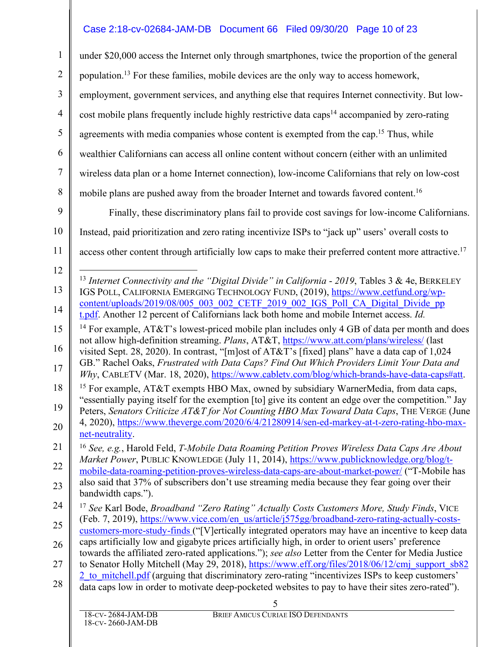## Case 2:18-cv-02684-JAM-DB Document 66 Filed 09/30/20 Page 10 of 23

4 5 6 7 8 under \$20,000 access the Internet only through smartphones, twice the proportion of the general population.13 For these families, mobile devices are the only way to access homework, employment, government services, and anything else that requires Internet connectivity. But lowcost mobile plans frequently include highly restrictive data caps<sup>14</sup> accompanied by zero-rating agreements with media companies whose content is exempted from the cap.<sup>15</sup> Thus, while wealthier Californians can access all online content without concern (either with an unlimited wireless data plan or a home Internet connection), low-income Californians that rely on low-cost mobile plans are pushed away from the broader Internet and towards favored content.<sup>16</sup>

9 10 11 Finally, these discriminatory plans fail to provide cost savings for low-income Californians. Instead, paid prioritization and zero rating incentivize ISPs to "jack up" users' overall costs to access other content through artificially low caps to make their preferred content more attractive.<sup>17</sup>

1

 $\overline{2}$ 

3

<sup>12</sup> 13 14 13 *Internet Connectivity and the "Digital Divide" in California* - *<sup>2019</sup>*, Tables <sup>3</sup> & 4e, BERKELEY IGS POLL, CALIFORNIA EMERGING TECHNOLOGY FUND, (2019), https://www.cetfund.org/wpcontent/uploads/2019/08/005\_003\_002\_CETF\_2019\_002\_IGS\_Poll\_CA\_Digital\_Divide\_pp t.pdf. Another 12 percent of Californians lack both home and mobile Internet access. *Id.*

<sup>15</sup> 16 <sup>14</sup> For example,  $AT&T$ 's lowest-priced mobile plan includes only 4 GB of data per month and does not allow high-definition streaming. *Plans*, AT&T, https://www.att.com/plans/wireless/ (last visited Sept. 28, 2020). In contrast, "[m]ost of AT&T's [fixed] plans" have a data cap of 1,024 GB." Rachel Oaks, *Frustrated with Data Caps? Find Out Which Providers Limit Your Data and* 

<sup>17</sup> *Why*, CABLETV (Mar. 18, 2020), https://www.cabletv.com/blog/which-brands-have-data-caps#att.

<sup>18</sup> 19 <sup>15</sup> For example, AT&T exempts HBO Max, owned by subsidiary WarnerMedia, from data caps, "essentially paying itself for the exemption [to] give its content an edge over the competition." Jay Peters, *Senators Criticize AT&T for Not Counting HBO Max Toward Data Caps*, THE VERGE (June

<sup>20</sup> 4, 2020), https://www.theverge.com/2020/6/4/21280914/sen-ed-markey-at-t-zero-rating-hbo-maxnet-neutrality.

<sup>21</sup> 22 <sup>16</sup> *See, e.g.*, Harold Feld, *T-Mobile Data Roaming Petition Proves Wireless Data Caps Are About Market Power*, PUBLIC KNOWLEDGE (July 11, 2014), https://www.publicknowledge.org/blog/tmobile-data-roaming-petition-proves-wireless-data-caps-are-about-market-power/ ("T-Mobile has

<sup>23</sup> also said that 37% of subscribers don't use streaming media because they fear going over their bandwidth caps.").

<sup>24</sup> 25 <sup>17</sup> *See* Karl Bode, *Broadband "Zero Rating" Actually Costs Customers More, Study Finds*, VICE (Feb. 7, 2019), https://www.vice.com/en\_us/article/j575gg/broadband-zero-rating-actually-costs-

<sup>26</sup> customers-more-study-finds ("[V]ertically integrated operators may have an incentive to keep data caps artificially low and gigabyte prices artificially high, in order to orient users' preference

<sup>27</sup> towards the affiliated zero-rated applications."); *see also* Letter from the Center for Media Justice to Senator Holly Mitchell (May 29, 2018), https://www.eff.org/files/2018/06/12/cmj\_support\_sb82

<sup>28</sup> 2 to mitchell.pdf (arguing that discriminatory zero-rating "incentivizes ISPs to keep customers'

data caps low in order to motivate deep-pocketed websites to pay to have their sites zero-rated").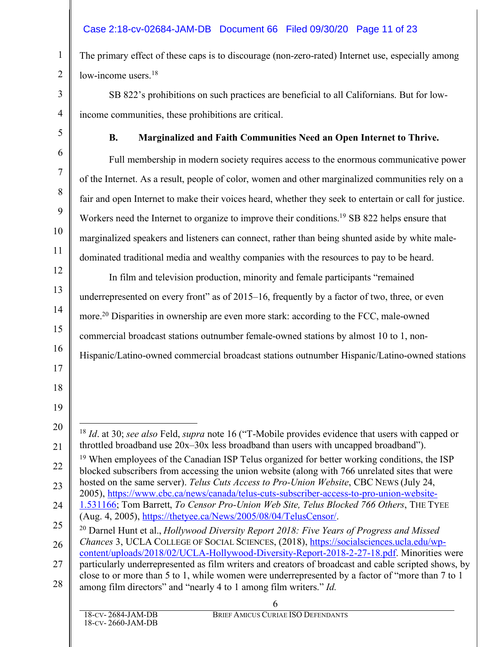## Case 2:18-cv-02684-JAM-DB Document 66 Filed 09/30/20 Page 11 of 23

The primary effect of these caps is to discourage (non-zero-rated) Internet use, especially among low-income users.<sup>18</sup>

SB 822's prohibitions on such practices are beneficial to all Californians. But for lowincome communities, these prohibitions are critical.

1

 $\mathfrak{D}$ 

3

4

5

6

7

8

9

10

11

12

13

14

15

16

17

18

19

#### **B. Marginalized and Faith Communities Need an Open Internet to Thrive.**

Full membership in modern society requires access to the enormous communicative power of the Internet. As a result, people of color, women and other marginalized communities rely on a fair and open Internet to make their voices heard, whether they seek to entertain or call for justice. Workers need the Internet to organize to improve their conditions.<sup>19</sup> SB 822 helps ensure that marginalized speakers and listeners can connect, rather than being shunted aside by white maledominated traditional media and wealthy companies with the resources to pay to be heard.

In film and television production, minority and female participants "remained underrepresented on every front" as of 2015–16, frequently by a factor of two, three, or even more.20 Disparities in ownership are even more stark: according to the FCC, male-owned commercial broadcast stations outnumber female-owned stations by almost 10 to 1, non-Hispanic/Latino-owned commercial broadcast stations outnumber Hispanic/Latino-owned stations

<sup>20</sup> 21 18 *Id*. at 30; *see also* Feld, *supra* note 16 ("T-Mobile provides evidence that users with capped or throttled broadband use 20x–30x less broadband than users with uncapped broadband").

<sup>22</sup> 23 <sup>19</sup> When employees of the Canadian ISP Telus organized for better working conditions, the ISP blocked subscribers from accessing the union website (along with 766 unrelated sites that were hosted on the same server). *Telus Cuts Access to Pro-Union Website*, CBC NEWS (July 24, 2005), https://www.cbc.ca/news/canada/telus-cuts-subscriber-access-to-pro-union-website-

<sup>24</sup> 1.531166; Tom Barrett, *To Censor Pro-Union Web Site, Telus Blocked 766 Others*, THE TYEE (Aug. 4, 2005), https://thetyee.ca/News/2005/08/04/TelusCensor/.

<sup>25</sup> <sup>20</sup> Darnel Hunt et al., *Hollywood Diversity Report 2018: Five Years of Progress and Missed Chances* 3, UCLA COLLEGE OF SOCIAL SCIENCES, (2018), https://socialsciences.ucla.edu/wp-

<sup>26</sup> 27 28 content/uploads/2018/02/UCLA-Hollywood-Diversity-Report-2018-2-27-18.pdf. Minorities were particularly underrepresented as film writers and creators of broadcast and cable scripted shows, by close to or more than 5 to 1, while women were underrepresented by a factor of "more than 7 to 1 among film directors" and "nearly 4 to 1 among film writers." *Id.*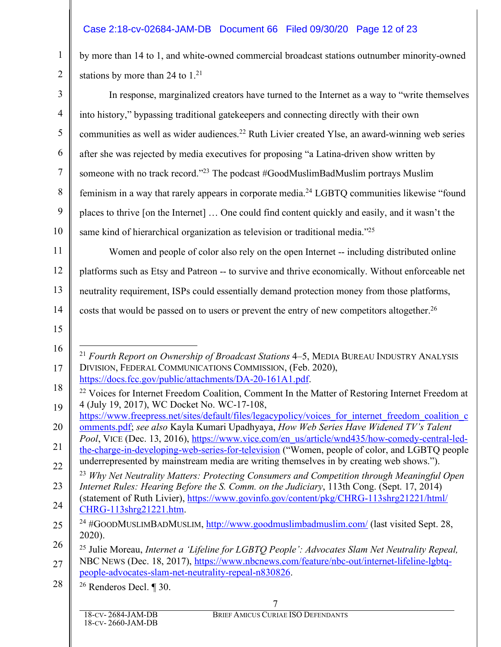## Case 2:18-cv-02684-JAM-DB Document 66 Filed 09/30/20 Page 12 of 23

by more than 14 to 1, and white-owned commercial broadcast stations outnumber minority-owned stations by more than 24 to  $1<sup>21</sup>$ 

In response, marginalized creators have turned to the Internet as a way to "write themselves into history," bypassing traditional gatekeepers and connecting directly with their own communities as well as wider audiences.<sup>22</sup> Ruth Livier created Ylse, an award-winning web series after she was rejected by media executives for proposing "a Latina-driven show written by someone with no track record."23 The podcast #GoodMuslimBadMuslim portrays Muslim feminism in a way that rarely appears in corporate media.24 LGBTQ communities likewise "found places to thrive [on the Internet] … One could find content quickly and easily, and it wasn't the same kind of hierarchical organization as television or traditional media.<sup>"25</sup>

11 12 13 14 Women and people of color also rely on the open Internet -- including distributed online platforms such as Etsy and Patreon -- to survive and thrive economically. Without enforceable net neutrality requirement, ISPs could essentially demand protection money from those platforms, costs that would be passed on to users or prevent the entry of new competitors altogether.<sup>26</sup>

15

16

17

1

 $\mathfrak{D}$ 

3

4

5

6

7

8

9

 <sup>21</sup> *Fourth Report on Ownership of Broadcast Stations* 4–5, MEDIA BUREAU INDUSTRY ANALYSIS DIVISION, FEDERAL COMMUNICATIONS COMMISSION, (Feb. 2020), https://docs.fcc.gov/public/attachments/DA-20-161A1.pdf.

<sup>18</sup> 19 <sup>22</sup> Voices for Internet Freedom Coalition, Comment In the Matter of Restoring Internet Freedom at 4 (July 19, 2017), WC Docket No. WC-17-108,

<sup>20</sup> https://www.freepress.net/sites/default/files/legacypolicy/voices\_for\_internet\_freedom\_coalition\_c omments.pdf; *see also* Kayla Kumari Upadhyaya, *How Web Series Have Widened TV's Talent* 

<sup>21</sup> *Pool*, VICE (Dec. 13, 2016), https://www.vice.com/en\_us/article/wnd435/how-comedy-central-ledthe-charge-in-developing-web-series-for-television ("Women, people of color, and LGBTQ people underrepresented by mainstream media are writing themselves in by creating web shows.").

<sup>22</sup> 23 <sup>23</sup> *Why Net Neutrality Matters: Protecting Consumers and Competition through Meaningful Open Internet Rules: Hearing Before the S. Comm. on the Judiciary*, 113th Cong. (Sept. 17, 2014) (statement of Ruth Livier), https://www.govinfo.gov/content/pkg/CHRG-113shrg21221/html/

<sup>24</sup> CHRG-113shrg21221.htm.

<sup>25</sup>  $^{24}$  #GOODMUSLIMBADMUSLIM, http://www.goodmuslimbadmuslim.com/ (last visited Sept. 28, 2020).

<sup>26</sup> 27 <sup>25</sup> Julie Moreau, *Internet a 'Lifeline for LGBTQ People': Advocates Slam Net Neutrality Repeal,* NBC NEWS (Dec. 18, 2017), https://www.nbcnews.com/feature/nbc-out/internet-lifeline-lgbtqpeople-advocates-slam-net-neutrality-repeal-n830826.

<sup>28</sup> <sup>26</sup> Renderos Decl. ¶ 30.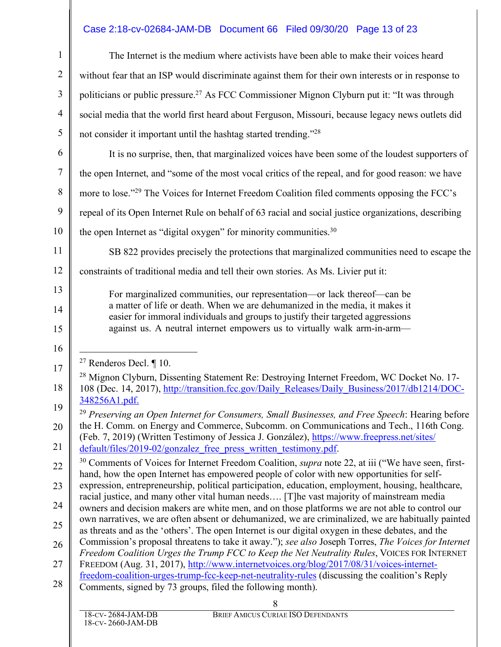## Case 2:18-cv-02684-JAM-DB Document 66 Filed 09/30/20 Page 13 of 23

| $\mathbf{1}$   | The Internet is the medium where activists have been able to make their voices heard                                                                                                                               |  |  |
|----------------|--------------------------------------------------------------------------------------------------------------------------------------------------------------------------------------------------------------------|--|--|
| $\overline{2}$ | without fear that an ISP would discriminate against them for their own interests or in response to                                                                                                                 |  |  |
| 3              | politicians or public pressure. <sup>27</sup> As FCC Commissioner Mignon Clyburn put it: "It was through                                                                                                           |  |  |
| $\overline{4}$ | social media that the world first heard about Ferguson, Missouri, because legacy news outlets did                                                                                                                  |  |  |
| 5              | not consider it important until the hashtag started trending."28                                                                                                                                                   |  |  |
| 6              | It is no surprise, then, that marginalized voices have been some of the loudest supporters of                                                                                                                      |  |  |
| $\tau$         | the open Internet, and "some of the most vocal critics of the repeal, and for good reason: we have                                                                                                                 |  |  |
| 8              | more to lose." <sup>29</sup> The Voices for Internet Freedom Coalition filed comments opposing the FCC's                                                                                                           |  |  |
| 9              | repeal of its Open Internet Rule on behalf of 63 racial and social justice organizations, describing                                                                                                               |  |  |
| 10             | the open Internet as "digital oxygen" for minority communities. <sup>30</sup>                                                                                                                                      |  |  |
| 11             | SB 822 provides precisely the protections that marginalized communities need to escape the                                                                                                                         |  |  |
| 12             | constraints of traditional media and tell their own stories. As Ms. Livier put it:                                                                                                                                 |  |  |
| 13             | For marginalized communities, our representation-or lack thereof-can be                                                                                                                                            |  |  |
| 14             | a matter of life or death. When we are dehumanized in the media, it makes it<br>easier for immoral individuals and groups to justify their targeted aggressions                                                    |  |  |
| 15             | against us. A neutral internet empowers us to virtually walk arm-in-arm-                                                                                                                                           |  |  |
| 16             |                                                                                                                                                                                                                    |  |  |
| 17             | <sup>27</sup> Renderos Decl. $\P$ 10.<br><sup>28</sup> Mignon Clyburn, Dissenting Statement Re: Destroying Internet Freedom, WC Docket No. 17-                                                                     |  |  |
| 18             | 108 (Dec. 14, 2017), http://transition.fcc.gov/Daily Releases/Daily Business/2017/db1214/DOC-                                                                                                                      |  |  |
| 19             | 348256A1.pdf.                                                                                                                                                                                                      |  |  |
| 20             | <sup>29</sup> Preserving an Open Internet for Consumers, Small Businesses, and Free Speech: Hearing before<br>the H. Comm. on Energy and Commerce, Subcomm. on Communications and Tech., 116th Cong.               |  |  |
| 21             | (Feb. 7, 2019) (Written Testimony of Jessica J. González), https://www.freepress.net/sites/<br>default/files/2019-02/gonzalez free press written testimony.pdf.                                                    |  |  |
| 22             | <sup>30</sup> Comments of Voices for Internet Freedom Coalition, <i>supra</i> note 22, at iii ("We have seen, first-<br>hand, how the open Internet has empowered people of color with new opportunities for self- |  |  |
| 23             | expression, entrepreneurship, political participation, education, employment, housing, healthcare,                                                                                                                 |  |  |
| 24             | racial justice, and many other vital human needs [T]he vast majority of mainstream media<br>owners and decision makers are white men, and on those platforms we are not able to control our                        |  |  |
| 25             | own narratives, we are often absent or dehumanized, we are criminalized, we are habitually painted<br>as threats and as the 'others'. The open Internet is our digital oxygen in these debates, and the            |  |  |
| 26             | Commission's proposal threatens to take it away."); see also Joseph Torres, The Voices for Internet<br>Freedom Coalition Urges the Trump FCC to Keep the Net Neutrality Rules, VOICES FOR INTERNET                 |  |  |
| 27             | FREEDOM (Aug. 31, 2017), http://www.internetvoices.org/blog/2017/08/31/voices-internet-                                                                                                                            |  |  |
| 28             | freedom-coalition-urges-trump-fcc-keep-net-neutrality-rules (discussing the coalition's Reply<br>Comments, signed by 73 groups, filed the following month).                                                        |  |  |
|                | 8                                                                                                                                                                                                                  |  |  |
|                | 18-CV-2684-JAM-DB<br>BRIEF AMICUS CURIAE ISO DEFENDANTS<br>18-CV-2660-JAM-DB                                                                                                                                       |  |  |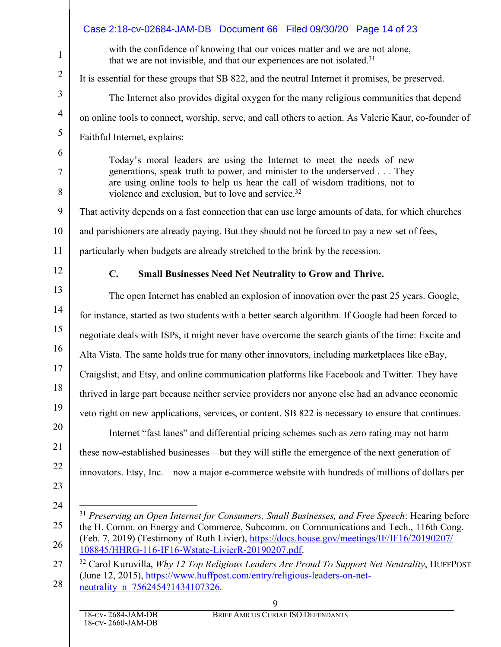|                | Case 2:18-cv-02684-JAM-DB Document 66 Filed 09/30/20 Page 14 of 23                                                                                                                             |  |  |  |
|----------------|------------------------------------------------------------------------------------------------------------------------------------------------------------------------------------------------|--|--|--|
| $\mathbf{1}$   | with the confidence of knowing that our voices matter and we are not alone,<br>that we are not invisible, and that our experiences are not isolated. <sup>31</sup>                             |  |  |  |
| $\overline{2}$ | It is essential for these groups that SB 822, and the neutral Internet it promises, be preserved.                                                                                              |  |  |  |
| $\mathfrak{Z}$ | The Internet also provides digital oxygen for the many religious communities that depend                                                                                                       |  |  |  |
| $\overline{4}$ | on online tools to connect, worship, serve, and call others to action. As Valerie Kaur, co-founder of                                                                                          |  |  |  |
| $\mathfrak{S}$ | Faithful Internet, explains:                                                                                                                                                                   |  |  |  |
| 6              | Today's moral leaders are using the Internet to meet the needs of new                                                                                                                          |  |  |  |
| 7              | generations, speak truth to power, and minister to the underserved They<br>are using online tools to help us hear the call of wisdom traditions, not to                                        |  |  |  |
| $8\,$          | violence and exclusion, but to love and service. <sup>32</sup>                                                                                                                                 |  |  |  |
| 9              | That activity depends on a fast connection that can use large amounts of data, for which churches                                                                                              |  |  |  |
| 10             | and parishioners are already paying. But they should not be forced to pay a new set of fees,                                                                                                   |  |  |  |
| 11             | particularly when budgets are already stretched to the brink by the recession.                                                                                                                 |  |  |  |
| 12             | $C_{\bullet}$<br><b>Small Businesses Need Net Neutrality to Grow and Thrive.</b>                                                                                                               |  |  |  |
| 13             | The open Internet has enabled an explosion of innovation over the past 25 years. Google,                                                                                                       |  |  |  |
| 14             | for instance, started as two students with a better search algorithm. If Google had been forced to                                                                                             |  |  |  |
| 15             | negotiate deals with ISPs, it might never have overcome the search giants of the time: Excite and                                                                                              |  |  |  |
| 16             | Alta Vista. The same holds true for many other innovators, including marketplaces like eBay,                                                                                                   |  |  |  |
| 17             | Craigslist, and Etsy, and online communication platforms like Facebook and Twitter. They have                                                                                                  |  |  |  |
| 18             | thrived in large part because neither service providers nor anyone else had an advance economic                                                                                                |  |  |  |
| 19             | veto right on new applications, services, or content. SB 822 is necessary to ensure that continues.                                                                                            |  |  |  |
| 20             | Internet "fast lanes" and differential pricing schemes such as zero rating may not harm                                                                                                        |  |  |  |
| 21             | these now-established businesses—but they will stifle the emergence of the next generation of                                                                                                  |  |  |  |
| 22             | innovators. Etsy, Inc.—now a major e-commerce website with hundreds of millions of dollars per                                                                                                 |  |  |  |
| 23             |                                                                                                                                                                                                |  |  |  |
| 24             | <sup>31</sup> Preserving an Open Internet for Consumers, Small Businesses, and Free Speech: Hearing before                                                                                     |  |  |  |
| 25             | the H. Comm. on Energy and Commerce, Subcomm. on Communications and Tech., 116th Cong.<br>(Feb. 7, 2019) (Testimony of Ruth Livier), https://docs.house.gov/meetings/IF/IF16/20190207/         |  |  |  |
| 26             | 108845/HHRG-116-IF16-Wstate-LivierR-20190207.pdf.                                                                                                                                              |  |  |  |
| 27             | <sup>32</sup> Carol Kuruvilla, <i>Why 12 Top Religious Leaders Are Proud To Support Net Neutrality</i> , HUFFPOST<br>(June 12, 2015), https://www.huffpost.com/entry/religious-leaders-on-net- |  |  |  |
| 28             | neutrality n 7562454?1434107326.                                                                                                                                                               |  |  |  |
|                | 9<br>$18 \text{ CV}$ $2684$ JAM DR<br><b>REEL AMCUS CIBIAE ISO DEEEMBANTS</b>                                                                                                                  |  |  |  |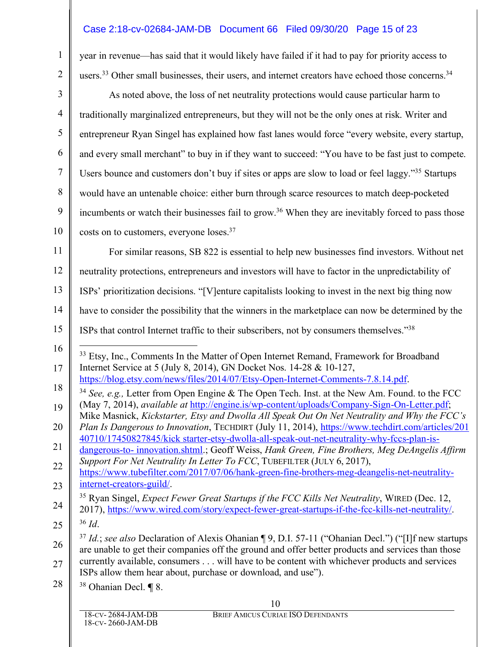## Case 2:18-cv-02684-JAM-DB Document 66 Filed 09/30/20 Page 15 of 23

year in revenue—has said that it would likely have failed if it had to pay for priority access to users.<sup>33</sup> Other small businesses, their users, and internet creators have echoed those concerns.<sup>34</sup>

As noted above, the loss of net neutrality protections would cause particular harm to traditionally marginalized entrepreneurs, but they will not be the only ones at risk. Writer and entrepreneur Ryan Singel has explained how fast lanes would force "every website, every startup, and every small merchant" to buy in if they want to succeed: "You have to be fast just to compete. Users bounce and customers don't buy if sites or apps are slow to load or feel laggy."<sup>35</sup> Startups would have an untenable choice: either burn through scarce resources to match deep-pocketed incumbents or watch their businesses fail to grow.<sup>36</sup> When they are inevitably forced to pass those costs on to customers, everyone loses.<sup>37</sup>

11 12 13 14 15 For similar reasons, SB 822 is essential to help new businesses find investors. Without net neutrality protections, entrepreneurs and investors will have to factor in the unpredictability of ISPs' prioritization decisions. "[V]enture capitalists looking to invest in the next big thing now have to consider the possibility that the winners in the marketplace can now be determined by the ISPs that control Internet traffic to their subscribers, not by consumers themselves."38

- 16 17 <sup>33</sup> Etsy, Inc., Comments In the Matter of Open Internet Remand, Framework for Broadband Internet Service at 5 (July 8, 2014), GN Docket Nos. 14-28 & 10-127, https://blog.etsy.com/news/files/2014/07/Etsy-Open-Internet-Comments-7.8.14.pdf.
- 18 <sup>34</sup> *See, e.g.,* Letter from Open Engine & The Open Tech. Inst. at the New Am. Found. to the FCC (May 7, 2014), *available at* http://engine.is/wp-content/uploads/Company-Sign-On-Letter.pdf;
- 19 20 Mike Masnick, *Kickstarter, Etsy and Dwolla All Speak Out On Net Neutrality and Why the FCC's Plan Is Dangerous to Innovation*, TECHDIRT (July 11, 2014), https://www.techdirt.com/articles/201
- 21 40710/17450827845/kick starter-etsy-dwolla-all-speak-out-net-neutrality-why-fccs-plan-isdangerous-to- innovation.shtml.; Geoff Weiss, *Hank Green, Fine Brothers, Meg DeAngelis Affirm*

22 *Support For Net Neutrality In Letter To FCC*, TUBEFILTER (JULY 6, 2017),

23 https://www.tubefilter.com/2017/07/06/hank-green-fine-brothers-meg-deangelis-net-neutralityinternet-creators-guild/.

24 <sup>35</sup> Ryan Singel, *Expect Fewer Great Startups if the FCC Kills Net Neutrality*, WIRED (Dec. 12, 2017), https://www.wired.com/story/expect-fewer-great-startups-if-the-fcc-kills-net-neutrality/.

25

<sup>36</sup> *Id*.

1

 $\mathfrak{D}$ 

3

4

5

6

7

8

9

10

26 27 <sup>37</sup> *Id.*; *see also* Declaration of Alexis Ohanian ¶ 9, D.I. 57-11 ("Ohanian Decl.") ("[I]f new startups are unable to get their companies off the ground and offer better products and services than those currently available, consumers . . . will have to be content with whichever products and services ISPs allow them hear about, purchase or download, and use").

28 <sup>38</sup> Ohanian Decl. **¶** 8.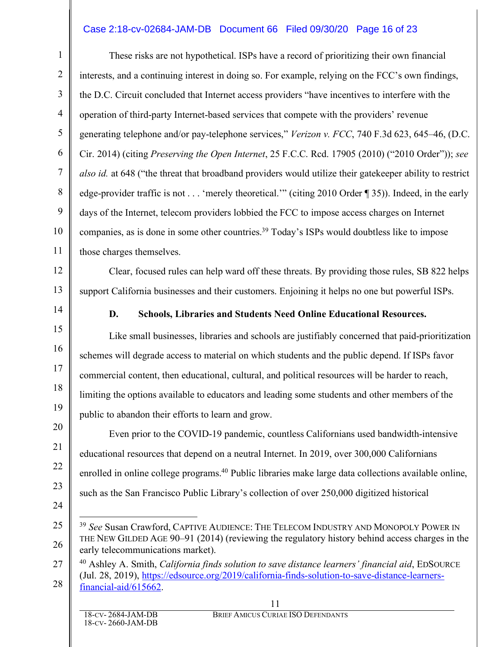## Case 2:18-cv-02684-JAM-DB Document 66 Filed 09/30/20 Page 16 of 23

These risks are not hypothetical. ISPs have a record of prioritizing their own financial interests, and a continuing interest in doing so. For example, relying on the FCC's own findings, the D.C. Circuit concluded that Internet access providers "have incentives to interfere with the operation of third-party Internet-based services that compete with the providers' revenue generating telephone and/or pay-telephone services," *Verizon v. FCC*, 740 F.3d 623, 645–46, (D.C. Cir. 2014) (citing *Preserving the Open Internet*, 25 F.C.C. Rcd. 17905 (2010) ("2010 Order")); *see also id.* at 648 ("the threat that broadband providers would utilize their gatekeeper ability to restrict edge-provider traffic is not . . . 'merely theoretical.'" (citing 2010 Order ¶ 35)). Indeed, in the early days of the Internet, telecom providers lobbied the FCC to impose access charges on Internet companies, as is done in some other countries.<sup>39</sup> Today's ISPs would doubtless like to impose those charges themselves.

Clear, focused rules can help ward off these threats. By providing those rules, SB 822 helps support California businesses and their customers. Enjoining it helps no one but powerful ISPs.

14 15

16

17

18

19

20

21

22

23

1

 $\mathfrak{D}$ 

3

4

5

6

7

8

9

10

11

12

13

#### **D. Schools, Libraries and Students Need Online Educational Resources.**

Like small businesses, libraries and schools are justifiably concerned that paid-prioritization schemes will degrade access to material on which students and the public depend. If ISPs favor commercial content, then educational, cultural, and political resources will be harder to reach, limiting the options available to educators and leading some students and other members of the public to abandon their efforts to learn and grow.

Even prior to the COVID-19 pandemic, countless Californians used bandwidth-intensive educational resources that depend on a neutral Internet. In 2019, over 300,000 Californians enrolled in online college programs.<sup>40</sup> Public libraries make large data collections available online, such as the San Francisco Public Library's collection of over 250,000 digitized historical

24 25

 <sup>39</sup> *See* Susan Crawford, CAPTIVE AUDIENCE: THE TELECOM INDUSTRY AND MONOPOLY POWER IN THE NEW GILDED AGE 90–91 (2014) (reviewing the regulatory history behind access charges in the early telecommunications market).

<sup>27</sup> 28 <sup>40</sup> Ashley A. Smith, *California finds solution to save distance learners' financial aid*, EDSOURCE (Jul. 28, 2019), https://edsource.org/2019/california-finds-solution-to-save-distance-learnersfinancial-aid/615662.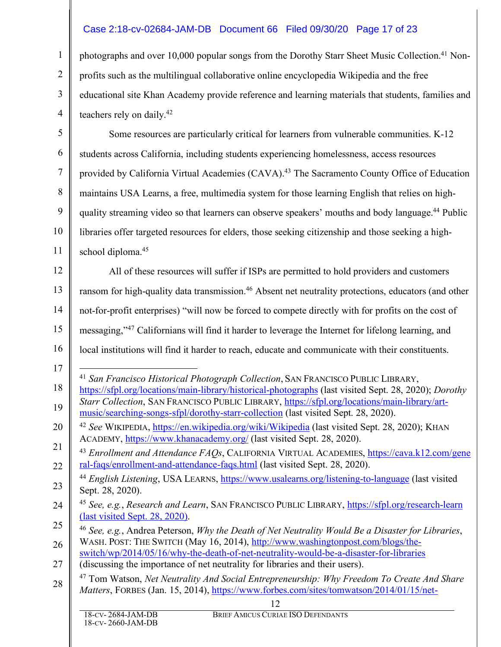## Case 2:18-cv-02684-JAM-DB Document 66 Filed 09/30/20 Page 17 of 23

photographs and over 10,000 popular songs from the Dorothy Starr Sheet Music Collection.41 Nonprofits such as the multilingual collaborative online encyclopedia Wikipedia and the free educational site Khan Academy provide reference and learning materials that students, families and teachers rely on daily. 42

Some resources are particularly critical for learners from vulnerable communities. K-12 students across California, including students experiencing homelessness, access resources provided by California Virtual Academies (CAVA).<sup>43</sup> The Sacramento County Office of Education maintains USA Learns, a free, multimedia system for those learning English that relies on highquality streaming video so that learners can observe speakers' mouths and body language.44 Public libraries offer targeted resources for elders, those seeking citizenship and those seeking a highschool diploma.<sup>45</sup>

12 13 14 15 16 All of these resources will suffer if ISPs are permitted to hold providers and customers ransom for high-quality data transmission.<sup>46</sup> Absent net neutrality protections, educators (and other not-for-profit enterprises) "will now be forced to compete directly with for profits on the cost of messaging,"47 Californians will find it harder to leverage the Internet for lifelong learning, and local institutions will find it harder to reach, educate and communicate with their constituents.

27 switch/wp/2014/05/16/why-the-death-of-net-neutrality-would-be-a-disaster-for-libraries (discussing the importance of net neutrality for libraries and their users).

1

 $\mathfrak{D}$ 

3

4

5

6

7

8

9

10

<sup>17</sup> 18 19 41 *San Francisco Historical Photograph Collection*, SAN FRANCISCO PUBLIC LIBRARY, https://sfpl.org/locations/main-library/historical-photographs (last visited Sept. 28, 2020); *Dorothy Starr Collection*, SAN FRANCISCO PUBLIC LIBRARY, https://sfpl.org/locations/main-library/artmusic/searching-songs-sfpl/dorothy-starr-collection (last visited Sept. 28, 2020).

<sup>20</sup> 21 <sup>42</sup> *See* WIKIPEDIA, https://en.wikipedia.org/wiki/Wikipedia (last visited Sept. 28, 2020); KHAN ACADEMY, https://www.khanacademy.org/ (last visited Sept. 28, 2020).

<sup>22</sup> <sup>43</sup> *Enrollment and Attendance FAQs*, CALIFORNIA VIRTUAL ACADEMIES, https://cava.k12.com/gene ral-faqs/enrollment-and-attendance-faqs.html (last visited Sept. 28, 2020).

<sup>23</sup> <sup>44</sup> *English Listening*, USA LEARNS, https://www.usalearns.org/listening-to-language (last visited Sept. 28, 2020).

<sup>24</sup> <sup>45</sup> *See, e.g.*, *Research and Learn*, SAN FRANCISCO PUBLIC LIBRARY, https://sfpl.org/research-learn (last visited Sept. 28, 2020).

<sup>25</sup> 26 <sup>46</sup> *See, e.g.*, Andrea Peterson, *Why the Death of Net Neutrality Would Be a Disaster for Libraries*, WASH. POST: THE SWITCH (May 16, 2014), http://www.washingtonpost.com/blogs/the-

<sup>28</sup> <sup>47</sup> Tom Watson, *Net Neutrality And Social Entrepreneurship: Why Freedom To Create And Share Matters*, FORBES (Jan. 15, 2014), https://www.forbes.com/sites/tomwatson/2014/01/15/net-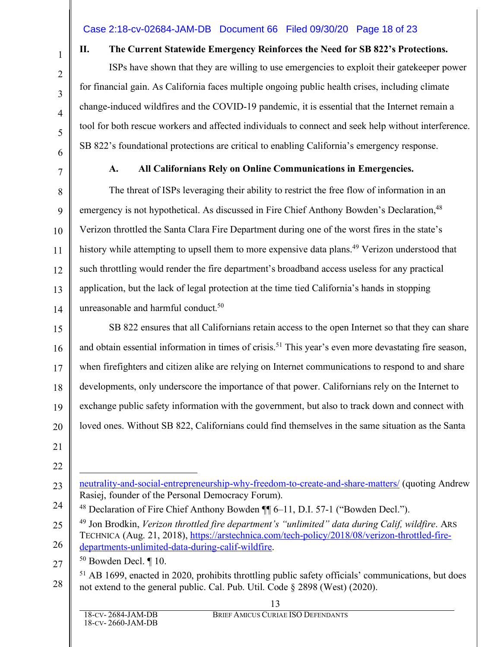## Case 2:18-cv-02684-JAM-DB Document 66 Filed 09/30/20 Page 18 of 23

1

2

3

4

5

6

7

## **II. The Current Statewide Emergency Reinforces the Need for SB 822's Protections.**

ISPs have shown that they are willing to use emergencies to exploit their gatekeeper power for financial gain. As California faces multiple ongoing public health crises, including climate change-induced wildfires and the COVID-19 pandemic, it is essential that the Internet remain a tool for both rescue workers and affected individuals to connect and seek help without interference. SB 822's foundational protections are critical to enabling California's emergency response.

## **A. All Californians Rely on Online Communications in Emergencies.**

8 9 10 11 12 13 14 The threat of ISPs leveraging their ability to restrict the free flow of information in an emergency is not hypothetical. As discussed in Fire Chief Anthony Bowden's Declaration,<sup>48</sup> Verizon throttled the Santa Clara Fire Department during one of the worst fires in the state's history while attempting to upsell them to more expensive data plans.<sup>49</sup> Verizon understood that such throttling would render the fire department's broadband access useless for any practical application, but the lack of legal protection at the time tied California's hands in stopping unreasonable and harmful conduct.<sup>50</sup>

15 16 17 18 19 20 SB 822 ensures that all Californians retain access to the open Internet so that they can share and obtain essential information in times of crisis.<sup>51</sup> This year's even more devastating fire season, when firefighters and citizen alike are relying on Internet communications to respond to and share developments, only underscore the importance of that power. Californians rely on the Internet to exchange public safety information with the government, but also to track down and connect with loved ones. Without SB 822, Californians could find themselves in the same situation as the Santa

21

22

23  $\overline{a}$ neutrality-and-social-entrepreneurship-why-freedom-to-create-and-share-matters/ (quoting Andrew Rasiej, founder of the Personal Democracy Forum).

25 26 <sup>49</sup> Jon Brodkin, *Verizon throttled fire department's "unlimited" data during Calif, wildfire*. ARS TECHNICA (Aug. 21, 2018), https://arstechnica.com/tech-policy/2018/08/verizon-throttled-firedepartments-unlimited-data-during-calif-wildfire.

27 <sup>50</sup> Bowden Decl. ¶ 10.

<sup>24</sup> <sup>48</sup> Declaration of Fire Chief Anthony Bowden ¶¶ 6–11, D.I. 57-1 ("Bowden Decl.").

<sup>28</sup> <sup>51</sup> AB 1699, enacted in 2020, prohibits throttling public safety officials' communications, but does not extend to the general public. Cal. Pub. Util. Code § 2898 (West) (2020).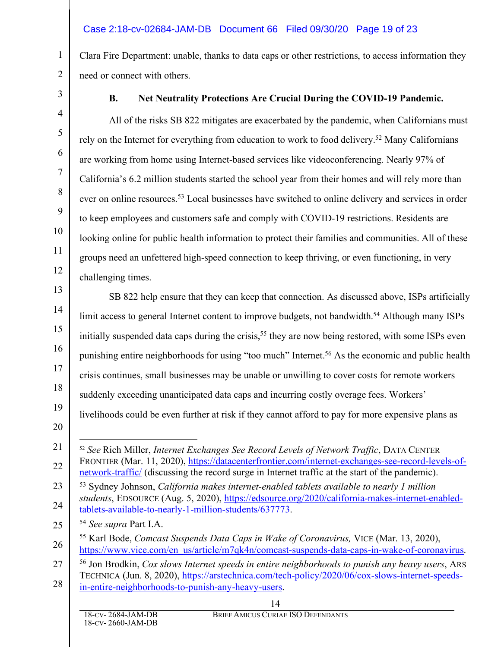## Case 2:18-cv-02684-JAM-DB Document 66 Filed 09/30/20 Page 19 of 23

Clara Fire Department: unable, thanks to data caps or other restrictions, to access information they need or connect with others.

## **B. Net Neutrality Protections Are Crucial During the COVID-19 Pandemic.**

All of the risks SB 822 mitigates are exacerbated by the pandemic, when Californians must rely on the Internet for everything from education to work to food delivery.<sup>52</sup> Many Californians are working from home using Internet-based services like videoconferencing. Nearly 97% of California's 6.2 million students started the school year from their homes and will rely more than ever on online resources.<sup>53</sup> Local businesses have switched to online delivery and services in order to keep employees and customers safe and comply with COVID-19 restrictions. Residents are looking online for public health information to protect their families and communities. All of these groups need an unfettered high-speed connection to keep thriving, or even functioning, in very challenging times.

SB 822 help ensure that they can keep that connection. As discussed above, ISPs artificially limit access to general Internet content to improve budgets, not bandwidth.<sup>54</sup> Although many ISPs initially suspended data caps during the crisis,<sup>55</sup> they are now being restored, with some ISPs even punishing entire neighborhoods for using "too much" Internet.56 As the economic and public health crisis continues, small businesses may be unable or unwilling to cover costs for remote workers suddenly exceeding unanticipated data caps and incurring costly overage fees. Workers' livelihoods could be even further at risk if they cannot afford to pay for more expensive plans as 52 *See* Rich Miller, *Internet Exchanges See Record Levels of Network Traffic*, DATA CENTER FRONTIER (Mar. 11, 2020), https://datacenterfrontier.com/internet-exchanges-see-record-levels-ofnetwork-traffic/ (discussing the record surge in Internet traffic at the start of the pandemic). <sup>53</sup> Sydney Johnson, *California makes internet-enabled tablets available to nearly 1 million students*, EDSOURCE (Aug. 5, 2020), https://edsource.org/2020/california-makes-internet-enabledtablets-available-to-nearly-1-million-students/637773.

- <sup>54</sup> *See supra* Part I.A.
- <sup>55</sup> Karl Bode, *Comcast Suspends Data Caps in Wake of Coronavirus,* VICE (Mar. 13, 2020), https://www.vice.com/en\_us/article/m7qk4n/comcast-suspends-data-caps-in-wake-of-coronavirus.
- 27 28 <sup>56</sup> Jon Brodkin, *Cox slows Internet speeds in entire neighborhoods to punish any heavy users*, ARS TECHNICA (Jun. 8, 2020), https://arstechnica.com/tech-policy/2020/06/cox-slows-internet-speedsin-entire-neighborhoods-to-punish-any-heavy-users.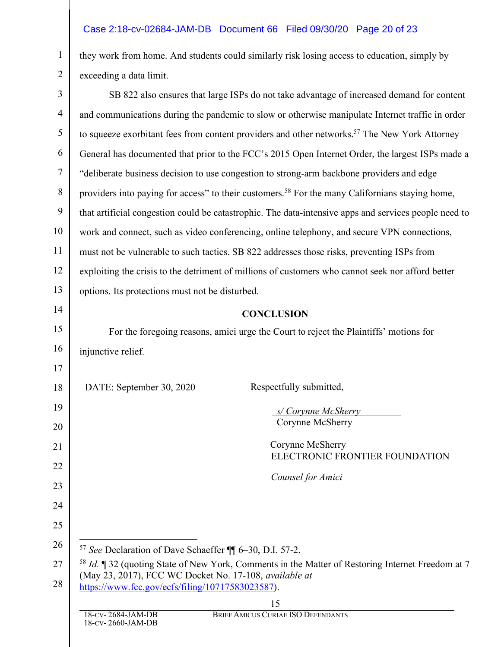## Case 2:18-cv-02684-JAM-DB Document 66 Filed 09/30/20 Page 20 of 23

1

2

they work from home. And students could similarly risk losing access to education, simply by exceeding a data limit.

| $\mathfrak{Z}$ | SB 822 also ensures that large ISPs do not take advantage of increased demand for content                                                                              |  |  |
|----------------|------------------------------------------------------------------------------------------------------------------------------------------------------------------------|--|--|
| $\overline{4}$ | and communications during the pandemic to slow or otherwise manipulate Internet traffic in order                                                                       |  |  |
| 5              | to squeeze exorbitant fees from content providers and other networks. <sup>57</sup> The New York Attorney                                                              |  |  |
| 6              | General has documented that prior to the FCC's 2015 Open Internet Order, the largest ISPs made a                                                                       |  |  |
| 7              | "deliberate business decision to use congestion to strong-arm backbone providers and edge                                                                              |  |  |
| 8              | providers into paying for access" to their customers. <sup>58</sup> For the many Californians staying home,                                                            |  |  |
| 9              | that artificial congestion could be catastrophic. The data-intensive apps and services people need to                                                                  |  |  |
| 10             | work and connect, such as video conferencing, online telephony, and secure VPN connections,                                                                            |  |  |
| 11             | must not be vulnerable to such tactics. SB 822 addresses those risks, preventing ISPs from                                                                             |  |  |
| 12             | exploiting the crisis to the detriment of millions of customers who cannot seek nor afford better                                                                      |  |  |
| 13             | options. Its protections must not be disturbed.                                                                                                                        |  |  |
| 14             | <b>CONCLUSION</b>                                                                                                                                                      |  |  |
| 15             | For the foregoing reasons, amici urge the Court to reject the Plaintiffs' motions for                                                                                  |  |  |
| 16             | injunctive relief.                                                                                                                                                     |  |  |
| 17             |                                                                                                                                                                        |  |  |
| 18             | DATE: September 30, 2020<br>Respectfully submitted,                                                                                                                    |  |  |
| 19             | s/Corynne McSherry                                                                                                                                                     |  |  |
| 20             | Corynne McSherry                                                                                                                                                       |  |  |
| 21             | Corynne McSherry<br>ELECTRONIC FRONTIER FOUNDATION                                                                                                                     |  |  |
| 22             | Counsel for Amici                                                                                                                                                      |  |  |
| 23             |                                                                                                                                                                        |  |  |
| 24             |                                                                                                                                                                        |  |  |
| 25             |                                                                                                                                                                        |  |  |
| 26             | <sup>57</sup> See Declaration of Dave Schaeffer ¶ 6-30, D.I. 57-2.                                                                                                     |  |  |
| 27             | <sup>58</sup> Id. ¶ 32 (quoting State of New York, Comments in the Matter of Restoring Internet Freedom at 7<br>(May 23, 2017), FCC WC Docket No. 17-108, available at |  |  |
| 28             | https://www.fcc.gov/ecfs/filing/10717583023587).                                                                                                                       |  |  |
|                | 15                                                                                                                                                                     |  |  |
|                | BRIEF AMICUS CURIAE ISO DEFENDANTS<br>18-CV-2684-JAM-DB<br>18-CV-2660-JAM-DB                                                                                           |  |  |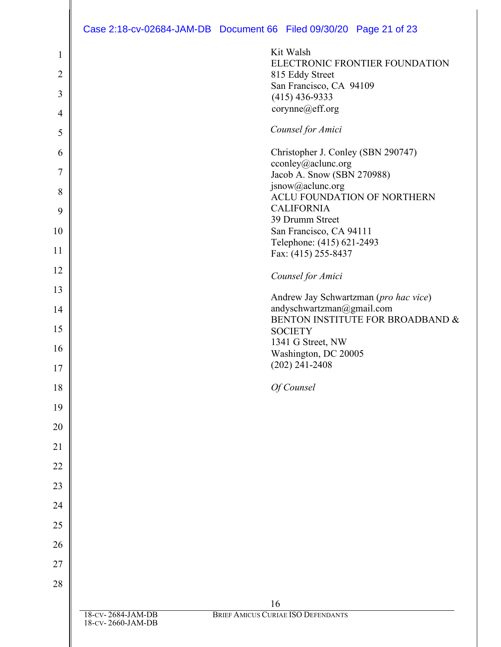# Case 2:18-cv-02684-JAM-DB Document 66 Filed 09/30/20 Page 21 of 23

|                |                                        | Case 2:18-CV-02684-JAM-DB Document 66 Filed 09/30/20 Page 21 of 23 |
|----------------|----------------------------------------|--------------------------------------------------------------------|
| $\mathbf{1}$   |                                        | Kit Walsh                                                          |
| $\overline{2}$ |                                        | ELECTRONIC FRONTIER FOUNDATION<br>815 Eddy Street                  |
| 3              |                                        | San Francisco, CA 94109                                            |
|                |                                        | $(415)$ 436-9333<br>corynne@eff.org                                |
| 4              |                                        |                                                                    |
| 5              |                                        | Counsel for Amici                                                  |
| 6              |                                        | Christopher J. Conley (SBN 290747)                                 |
| 7              |                                        | cconley@aclunc.org<br>Jacob A. Snow (SBN 270988)                   |
| 8              |                                        | jsnow@aclunc.org<br>ACLU FOUNDATION OF NORTHERN                    |
| 9              |                                        | <b>CALIFORNIA</b>                                                  |
|                |                                        | 39 Drumm Street                                                    |
| 10             |                                        | San Francisco, CA 94111<br>Telephone: (415) 621-2493               |
| 11             |                                        | Fax: (415) 255-8437                                                |
| 12             |                                        | Counsel for Amici                                                  |
| 13             |                                        | Andrew Jay Schwartzman (pro hac vice)                              |
| 14             |                                        | andyschwartzman@gmail.com                                          |
| 15             |                                        | BENTON INSTITUTE FOR BROADBAND &<br><b>SOCIETY</b>                 |
|                |                                        | 1341 G Street, NW                                                  |
| 16             |                                        | Washington, DC 20005                                               |
| 17             |                                        | $(202)$ 241-2408                                                   |
| 18             |                                        | Of Counsel                                                         |
| 19             |                                        |                                                                    |
| 20             |                                        |                                                                    |
| 21             |                                        |                                                                    |
| 22             |                                        |                                                                    |
| 23             |                                        |                                                                    |
| 24             |                                        |                                                                    |
| 25             |                                        |                                                                    |
| 26             |                                        |                                                                    |
| 27             |                                        |                                                                    |
| 28             |                                        |                                                                    |
|                |                                        | 16                                                                 |
|                | 18-CV-2684-JAM-DB<br>18-CV-2660-JAM-DB | BRIEF AMICUS CURIAE ISO DEFENDANTS                                 |
|                |                                        |                                                                    |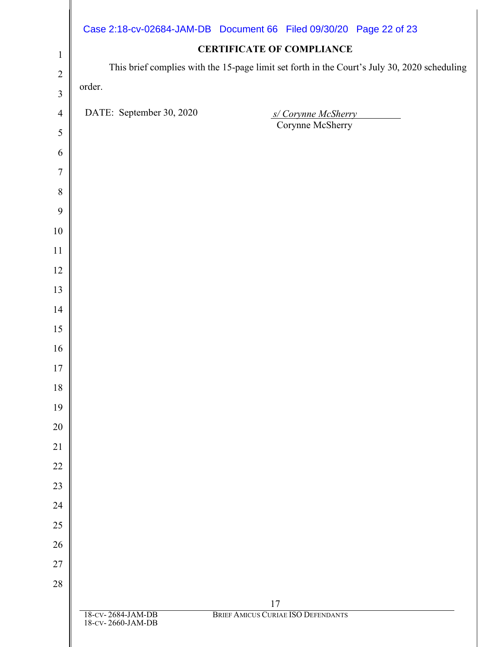|                | Case 2:18-cv-02684-JAM-DB Document 66 Filed 09/30/20 Page 22 of 23 | <b>CERTIFICATE OF COMPLIANCE</b>                                                             |  |
|----------------|--------------------------------------------------------------------|----------------------------------------------------------------------------------------------|--|
| $\mathbf{1}$   |                                                                    | This brief complies with the 15-page limit set forth in the Court's July 30, 2020 scheduling |  |
| $\overline{2}$ | order.                                                             |                                                                                              |  |
| $\mathfrak{Z}$ |                                                                    |                                                                                              |  |
| $\overline{4}$ | DATE: September 30, 2020                                           | s/Corynne McSherry<br>Corynne McSherry                                                       |  |
| $\mathfrak s$  |                                                                    |                                                                                              |  |
| 6              |                                                                    |                                                                                              |  |
| 7              |                                                                    |                                                                                              |  |
| 8              |                                                                    |                                                                                              |  |
| 9              |                                                                    |                                                                                              |  |
| $10\,$         |                                                                    |                                                                                              |  |
| 11             |                                                                    |                                                                                              |  |
| 12             |                                                                    |                                                                                              |  |
| 13<br>14       |                                                                    |                                                                                              |  |
| 15             |                                                                    |                                                                                              |  |
| 16             |                                                                    |                                                                                              |  |
| 17             |                                                                    |                                                                                              |  |
| 18             |                                                                    |                                                                                              |  |
| 19             |                                                                    |                                                                                              |  |
| 20             |                                                                    |                                                                                              |  |
| 21             |                                                                    |                                                                                              |  |
| $22\,$         |                                                                    |                                                                                              |  |
| 23             |                                                                    |                                                                                              |  |
| 24             |                                                                    |                                                                                              |  |
| 25             |                                                                    |                                                                                              |  |
| 26             |                                                                    |                                                                                              |  |
| 27             |                                                                    |                                                                                              |  |
| $28\,$         |                                                                    |                                                                                              |  |
|                | 18-CV-2684-JAM-DB                                                  | 17<br>BRIEF AMICUS CURIAE ISO DEFENDANTS                                                     |  |